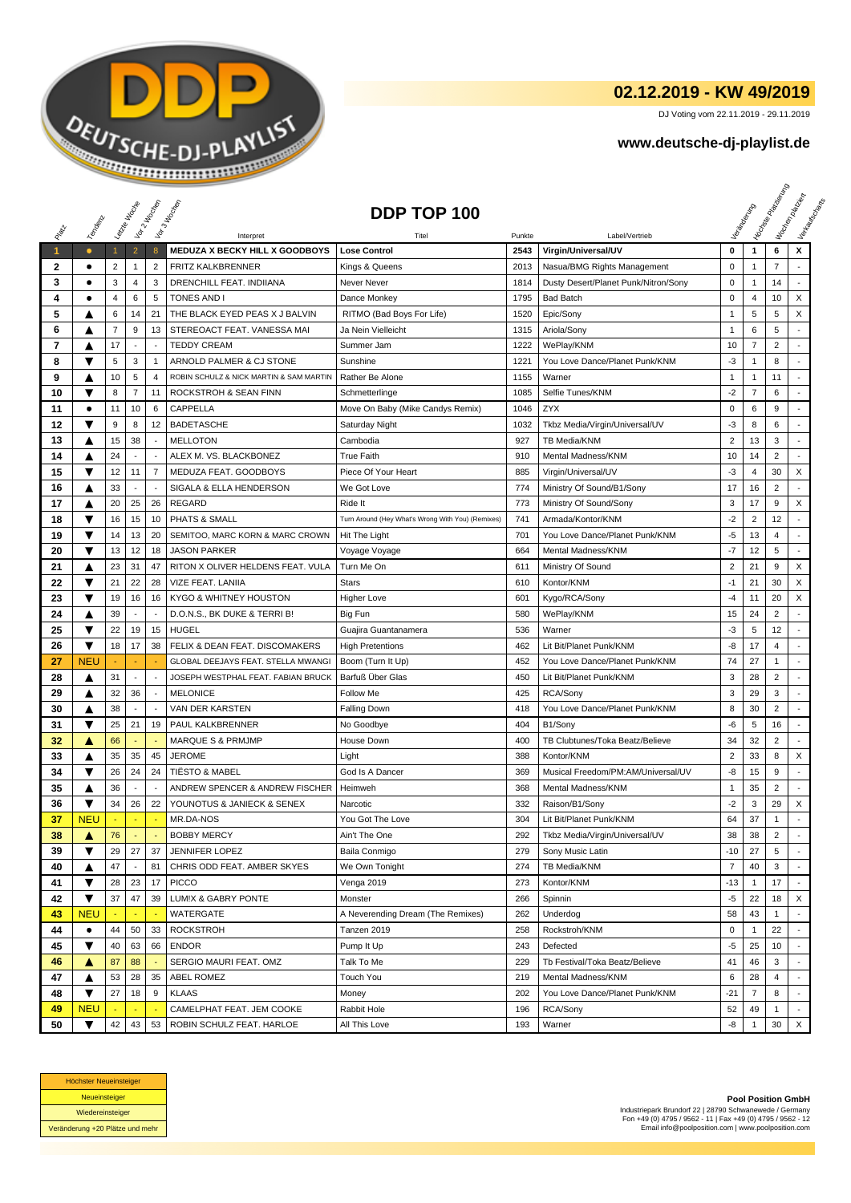

## **02.12.2019 - KW 49/2019**

DJ Voting vom 22.11.2019 - 29.11.2019

## **www.deutsche-dj-playlist.de**

|                      |                        |                | Leizie Hacope            | Vor 2 Noon               | Vor 3 Incolas                                 | DDP TOP 100                                       |        |                                      |                |                | <b>Licitorial Processing Capital</b> | Workenberg<br>Verkouwerd arts |
|----------------------|------------------------|----------------|--------------------------|--------------------------|-----------------------------------------------|---------------------------------------------------|--------|--------------------------------------|----------------|----------------|--------------------------------------|-------------------------------|
|                      | Temporal               |                |                          |                          |                                               |                                                   |        |                                      |                |                |                                      |                               |
|                      |                        |                |                          |                          | Interpret                                     | Titel                                             | Punkte | Label/Vertrieb                       |                |                |                                      | x                             |
| $\blacktriangleleft$ | $\bullet$<br>$\bullet$ | $\mathbf{1}$   | $\overline{2}$           | 8                        | MEDUZA X BECKY HILL X GOODBOYS                | <b>Lose Control</b>                               | 2543   | Virgin/Universal/UV                  | 0              | $\mathbf{1}$   | 6                                    |                               |
| 2                    |                        | 2<br>3         | $\mathbf{1}$             | $\overline{2}$<br>3      | FRITZ KALKBRENNER<br>DRENCHILL FEAT. INDIIANA | Kings & Queens                                    | 2013   | Nasua/BMG Rights Management          | $\mathsf 0$    | $\mathbf{1}$   | 7                                    |                               |
| 3                    | ٠                      |                | 4                        |                          |                                               | Never Never                                       | 1814   | Dusty Desert/Planet Punk/Nitron/Sony | 0              | 1              | 14                                   |                               |
| 4                    | ٠                      | $\overline{4}$ | 6                        | 5                        | <b>TONES AND I</b>                            | Dance Monkey                                      | 1795   | <b>Bad Batch</b>                     | $\pmb{0}$      | $\overline{4}$ | 10                                   | X                             |
| 5                    | A                      | 6              | 14                       | 21                       | THE BLACK EYED PEAS X J BALVIN                | RITMO (Bad Boys For Life)                         | 1520   | Epic/Sony                            | 1              | 5              | 5                                    | X                             |
| 6                    | ▲                      | $\overline{7}$ | 9                        | 13                       | STEREOACT FEAT, VANESSA MAI                   | Ja Nein Vielleicht                                | 1315   | Ariola/Sony                          | $\mathbf{1}$   | 6              | 5                                    |                               |
| 7                    | ▲                      | 17             | $\blacksquare$           | $\overline{\phantom{a}}$ | <b>TEDDY CREAM</b>                            | Summer Jam                                        | 1222   | WePlay/KNM                           | 10             | $\overline{7}$ | $\overline{c}$                       |                               |
| 8                    | ▼                      | 5              | 3                        | $\overline{1}$           | ARNOLD PALMER & CJ STONE                      | Sunshine                                          | 1221   | You Love Dance/Planet Punk/KNM       | $-3$           | $\mathbf{1}$   | 8                                    | $\overline{a}$                |
| 9                    | ▲                      | 10             | 5                        | $\overline{4}$           | ROBIN SCHULZ & NICK MARTIN & SAM MARTIN       | Rather Be Alone                                   | 1155   | Warner                               | $\mathbf{1}$   | $\mathbf{1}$   | 11                                   |                               |
| 10                   | ▼                      | 8              | $\overline{7}$           | 11                       | ROCKSTROH & SEAN FINN                         | Schmetterlinge                                    | 1085   | Selfie Tunes/KNM                     | $-2$           | $\overline{7}$ | 6                                    |                               |
| 11                   | ٠                      | 11             | 10                       | 6                        | CAPPELLA                                      | Move On Baby (Mike Candys Remix)                  | 1046   | ZYX                                  | $\mathbf 0$    | 6              | 9                                    | $\overline{a}$                |
| 12                   | ▼                      | 9              | 8                        | 12                       | <b>BADETASCHE</b>                             | Saturday Night                                    | 1032   | Tkbz Media/Virgin/Universal/UV       | -3             | 8              | 6                                    |                               |
| 13                   | ▲                      | 15             | 38                       | $\overline{\phantom{a}}$ | <b>MELLOTON</b>                               | Cambodia                                          | 927    | TB Media/KNM                         | $\overline{2}$ | 13             | 3                                    | $\sim$                        |
| 14                   | ▲                      | 24             |                          |                          | ALEX M. VS. BLACKBONEZ                        | <b>True Faith</b>                                 | 910    | Mental Madness/KNM                   | 10             | 14             | $\overline{2}$                       | $\overline{a}$                |
| 15                   | ▼                      | 12             | 11                       | $\overline{7}$           | MEDUZA FEAT. GOODBOYS                         | Piece Of Your Heart                               | 885    | Virgin/Universal/UV                  | -3             | 4              | 30                                   | X                             |
| 16                   | ▲                      | 33             | $\overline{\phantom{a}}$ |                          | SIGALA & ELLA HENDERSON                       | We Got Love                                       | 774    | Ministry Of Sound/B1/Sony            | 17             | 16             | 2                                    |                               |
| 17                   | A                      | 20             | 25                       | 26                       | <b>REGARD</b>                                 | Ride It                                           | 773    | Ministry Of Sound/Sony               | 3              | 17             | 9                                    | X                             |
| 18                   | ▼                      | 16             | 15                       | 10                       | PHATS & SMALL                                 | Turn Around (Hey What's Wrong With You) (Remixes) | 741    | Armada/Kontor/KNM                    | $-2$           | $\overline{2}$ | 12                                   | $\overline{a}$                |
| 19                   | ▼                      | 14             | 13                       | 20                       | SEMITOO, MARC KORN & MARC CROWN               | Hit The Light                                     | 701    | You Love Dance/Planet Punk/KNM       | -5             | 13             | 4                                    | $\overline{\phantom{a}}$      |
| 20                   | ▼                      | 13             | 12                       | 18                       | <b>JASON PARKER</b>                           | Voyage Voyage                                     | 664    | Mental Madness/KNM                   | $-7$           | 12             | 5                                    | $\mathbb{Z}^2$                |
| 21                   | ▲                      | 23             | 31                       | 47                       | RITON X OLIVER HELDENS FEAT. VULA             | Turn Me On                                        | 611    | Ministry Of Sound                    | $\overline{2}$ | 21             | 9                                    | X                             |
| 22                   | ▼                      | 21             | 22                       | 28                       | VIZE FEAT. LANIIA                             | <b>Stars</b>                                      | 610    | Kontor/KNM                           | $-1$           | 21             | 30                                   | X                             |
| 23                   | ▼                      | 19             | 16                       | 16                       | KYGO & WHITNEY HOUSTON                        | <b>Higher Love</b>                                | 601    | Kygo/RCA/Sony                        | -4             | 11             | 20                                   | X                             |
| 24                   | ▲                      | 39             | $\sim$                   | $\overline{\phantom{a}}$ | D.O.N.S., BK DUKE & TERRI B!                  | Big Fun                                           | 580    | WePlay/KNM                           | 15             | 24             | $\overline{c}$                       | $\sim$                        |
| 25                   | ▼                      | 22             | 19                       | 15                       | <b>HUGEL</b>                                  | Guajira Guantanamera                              | 536    | Warner                               | -3             | 5              | 12                                   |                               |
| 26                   | ▼                      | 18             | 17                       | 38                       | FELIX & DEAN FEAT. DISCOMAKERS                | <b>High Pretentions</b>                           | 462    | Lit Bit/Planet Punk/KNM              | -8             | 17             | 4                                    | ÷                             |
| 27                   | <b>NEU</b>             |                |                          |                          | GLOBAL DEEJAYS FEAT. STELLA MWANG             | Boom (Turn It Up)                                 | 452    | You Love Dance/Planet Punk/KNM       | 74             | 27             | 1                                    | $\overline{\phantom{a}}$      |
| 28                   | ▲                      | 31             | $\blacksquare$           |                          | JOSEPH WESTPHAL FEAT. FABIAN BRUCK            | Barfuß Über Glas                                  | 450    | Lit Bit/Planet Punk/KNM              | 3              | 28             | $\overline{2}$                       | ÷,                            |
| 29                   | ▲                      | 32             | 36                       | $\overline{\phantom{a}}$ | <b>MELONICE</b>                               | <b>Follow Me</b>                                  | 425    | RCA/Sony                             | 3              | 29             | 3                                    |                               |
| 30                   | A                      | 38             | $\sim$                   | $\overline{a}$           | VAN DER KARSTEN                               | <b>Falling Down</b>                               | 418    | You Love Dance/Planet Punk/KNM       | 8              | 30             | $\overline{c}$                       | $\overline{a}$                |
| 31                   | ▼                      | 25             | 21                       | 19                       | PAUL KALKBRENNER                              | No Goodbye                                        | 404    | B1/Sony                              | -6             | 5              | 16                                   | $\overline{a}$                |
| 32                   | A                      | 66             |                          |                          | <b>MARQUE S &amp; PRMJMP</b>                  | House Down                                        | 400    | TB Clubtunes/Toka Beatz/Believe      | 34             | 32             | $\overline{c}$                       | $\sim$                        |
| 33                   | ▲                      | 35             | 35                       | 45                       | <b>JEROME</b>                                 | Light                                             | 388    | Kontor/KNM                           | $\overline{2}$ | 33             | 8                                    | X                             |
| 34                   | ▼                      | 26             | 24                       | 24                       | <b>TIËSTO &amp; MABEL</b>                     | God Is A Dancer                                   | 369    | Musical Freedom/PM:AM/Universal/UV   | -8             | 15             | 9                                    | $\mathbf{r}$                  |
| 35                   | ▲                      | 36             | $\overline{\phantom{a}}$ |                          | ANDREW SPENCER & ANDREW FISCHER               | Heimweh                                           | 368    | Mental Madness/KNM                   | 1              | 35             | 2                                    |                               |
| 36                   | ▼                      | 34             | 26                       | 22                       | YOUNOTUS & JANIECK & SENEX                    | Narcotic                                          | 332    | Raison/B1/Sony                       | $-2$           | 3              | 29                                   | X                             |
| 37                   | <b>NEU</b>             |                | ÷                        | ٠.                       | MR.DA-NOS                                     | You Got The Love                                  | 304    | Lit Bit/Planet Punk/KNM              | 64             | 37             | 1                                    | ÷                             |
| 38                   | ▲                      | 76             |                          |                          | <b>BOBBY MERCY</b>                            | Ain't The One                                     | 292    | Tkbz Media/Virgin/Universal/UV       | 38             | 38             | 2                                    |                               |
| 39                   | ▼                      | 29             | 27                       | 37                       | JENNIFER LOPEZ                                | Baila Conmigo                                     | 279    | Sony Music Latin                     | $-10$          | 27             | 5                                    |                               |
| 40                   | ▲                      | 47             |                          | 81                       | CHRIS ODD FEAT. AMBER SKYES                   | We Own Tonight                                    | 274    | TB Media/KNM                         | $\overline{7}$ | 40             | 3                                    |                               |
| 41                   | ▼                      | 28             | 23                       | 17                       | PICCO                                         | Venga 2019                                        | 273    | Kontor/KNM                           | -13            | 1              | 17                                   |                               |
| 42                   | ▼                      | 37             | 47                       | 39                       | LUM!X & GABRY PONTE                           | Monster                                           | 266    | Spinnin                              | -5             | 22             | 18                                   | X                             |
| 43                   | <b>NEU</b>             |                |                          |                          | WATERGATE                                     | A Neverending Dream (The Remixes)                 | 262    | Underdog                             | 58             | 43             | 1                                    |                               |
| 44                   | ٠                      | 44             | 50                       | 33                       | <b>ROCKSTROH</b>                              | Tanzen 2019                                       | 258    | Rockstroh/KNM                        | $\pmb{0}$      | $\mathbf{1}$   | 22                                   |                               |
| 45                   | ▼                      | 40             | 63                       | 66                       | <b>ENDOR</b>                                  | Pump It Up                                        | 243    | Defected                             | -5             | 25             | 10                                   |                               |
| 46                   | ▲                      | 87             | 88                       |                          | SERGIO MAURI FEAT. OMZ                        | Talk To Me                                        | 229    | Tb Festival/Toka Beatz/Believe       | 41             | 46             | 3                                    |                               |
| 47                   | ▲                      | 53             | 28                       | 35                       | ABEL ROMEZ                                    | Touch You                                         | 219    | Mental Madness/KNM                   | 6              | 28             | 4                                    |                               |
| 48                   | ▼                      | 27             | 18                       | 9                        | <b>KLAAS</b>                                  | Money                                             | 202    | You Love Dance/Planet Punk/KNM       | $-21$          | 7              | 8                                    |                               |
| 49                   | <b>NEU</b>             |                |                          |                          | CAMELPHAT FEAT. JEM COOKE                     | Rabbit Hole                                       | 196    | RCA/Sony                             | 52             | 49             | 1                                    |                               |
| 50                   | ▼                      | 42             | 43                       | 53                       | ROBIN SCHULZ FEAT. HARLOE                     | All This Love                                     | 193    | Warner                               | -8             | 1              | 30                                   | X                             |



**Pool Position GmbH** Industriepark Brundorf 22 | 28790 Schwanewede / Germany Fon +49 (0) 4795 / 9562 - 11 | Fax +49 (0) 4795 / 9562 - 12 Email info@poolposition.com | www.poolposition.com